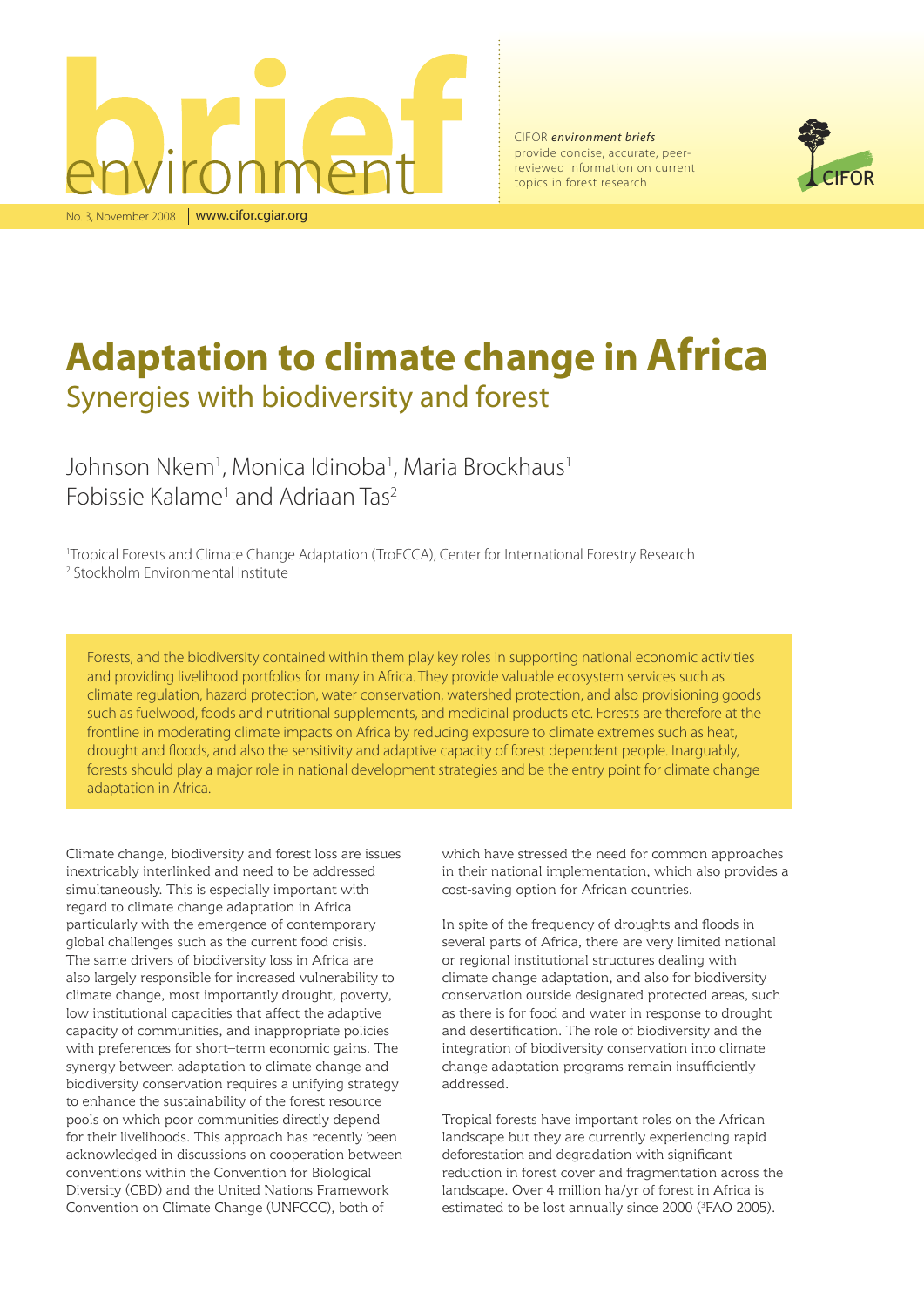

CIFOR *environment briefs* provide concise, accurate, peerreviewed information on current topics in forest research



# **Adaptation to climate change in Africa** Synergies with biodiversity and forest

Johnson Nkem<sup>1</sup>, Monica Idinoba<sup>1</sup>, Maria Brockhaus<sup>1</sup> Fobissie Kalame<sup>1</sup> and Adriaan Tas<sup>2</sup>

1 Tropical Forests and Climate Change Adaptation (TroFCCA), Center for International Forestry Research 2 Stockholm Environmental Institute

Forests, and the biodiversity contained within them play key roles in supporting national economic activities and providing livelihood portfolios for many in Africa. They provide valuable ecosystem services such as climate regulation, hazard protection, water conservation, watershed protection, and also provisioning goods such as fuelwood, foods and nutritional supplements, and medicinal products etc. Forests are therefore at the frontline in moderating climate impacts on Africa by reducing exposure to climate extremes such as heat, drought and floods, and also the sensitivity and adaptive capacity of forest dependent people. Inarguably, forests should play a major role in national development strategies and be the entry point for climate change adaptation in Africa.

Climate change, biodiversity and forest loss are issues inextricably interlinked and need to be addressed simultaneously. This is especially important with regard to climate change adaptation in Africa particularly with the emergence of contemporary global challenges such as the current food crisis. The same drivers of biodiversity loss in Africa are also largely responsible for increased vulnerability to climate change, most importantly drought, poverty, low institutional capacities that affect the adaptive capacity of communities, and inappropriate policies with preferences for short–term economic gains. The synergy between adaptation to climate change and biodiversity conservation requires a unifying strategy to enhance the sustainability of the forest resource pools on which poor communities directly depend for their livelihoods. This approach has recently been acknowledged in discussions on cooperation between conventions within the Convention for Biological Diversity (CBD) and the United Nations Framework Convention on Climate Change (UNFCCC), both of

which have stressed the need for common approaches in their national implementation, which also provides a cost-saving option for African countries.

In spite of the frequency of droughts and floods in several parts of Africa, there are very limited national or regional institutional structures dealing with climate change adaptation, and also for biodiversity conservation outside designated protected areas, such as there is for food and water in response to drought and desertification. The role of biodiversity and the integration of biodiversity conservation into climate change adaptation programs remain insufficiently addressed.

Tropical forests have important roles on the African landscape but they are currently experiencing rapid deforestation and degradation with significant reduction in forest cover and fragmentation across the landscape. Over 4 million ha/yr of forest in Africa is estimated to be lost annually since  $2000$  ( ${}^{3}$ FAO 2005).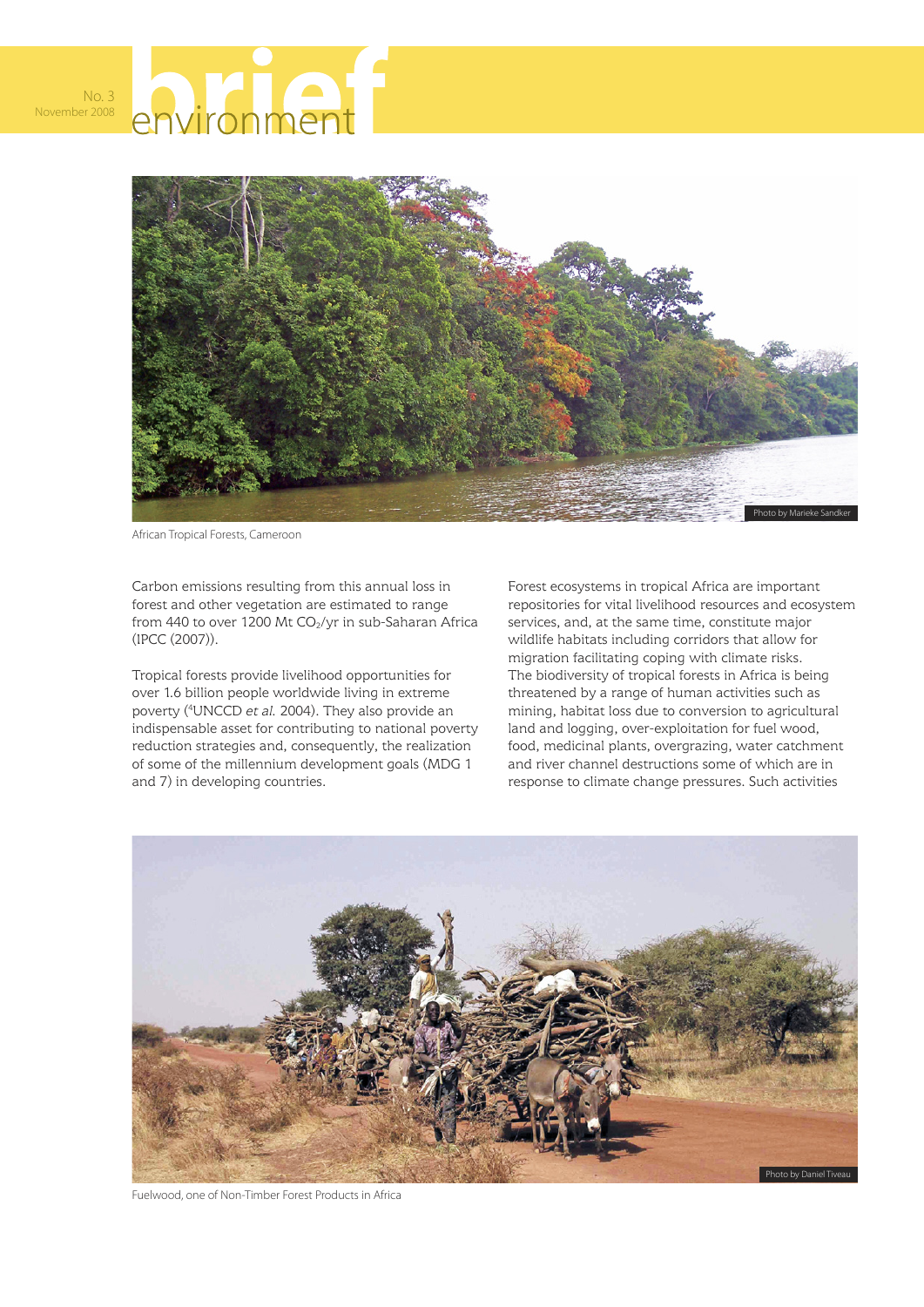



African Tropical Forests, Cameroon

Carbon emissions resulting from this annual loss in forest and other vegetation are estimated to range from 440 to over 1200 Mt  $CO<sub>2</sub>/yr$  in sub-Saharan Africa (IPCC (2007)).

Tropical forests provide livelihood opportunities for over 1.6 billion people worldwide living in extreme poverty (4 UNCCD *et al.* 2004). They also provide an indispensable asset for contributing to national poverty reduction strategies and, consequently, the realization of some of the millennium development goals (MDG 1 and 7) in developing countries.

Forest ecosystems in tropical Africa are important repositories for vital livelihood resources and ecosystem services, and, at the same time, constitute major wildlife habitats including corridors that allow for migration facilitating coping with climate risks. The biodiversity of tropical forests in Africa is being threatened by a range of human activities such as mining, habitat loss due to conversion to agricultural land and logging, over-exploitation for fuel wood, food, medicinal plants, overgrazing, water catchment and river channel destructions some of which are in response to climate change pressures. Such activities



Fuelwood, one of Non-Timber Forest Products in Africa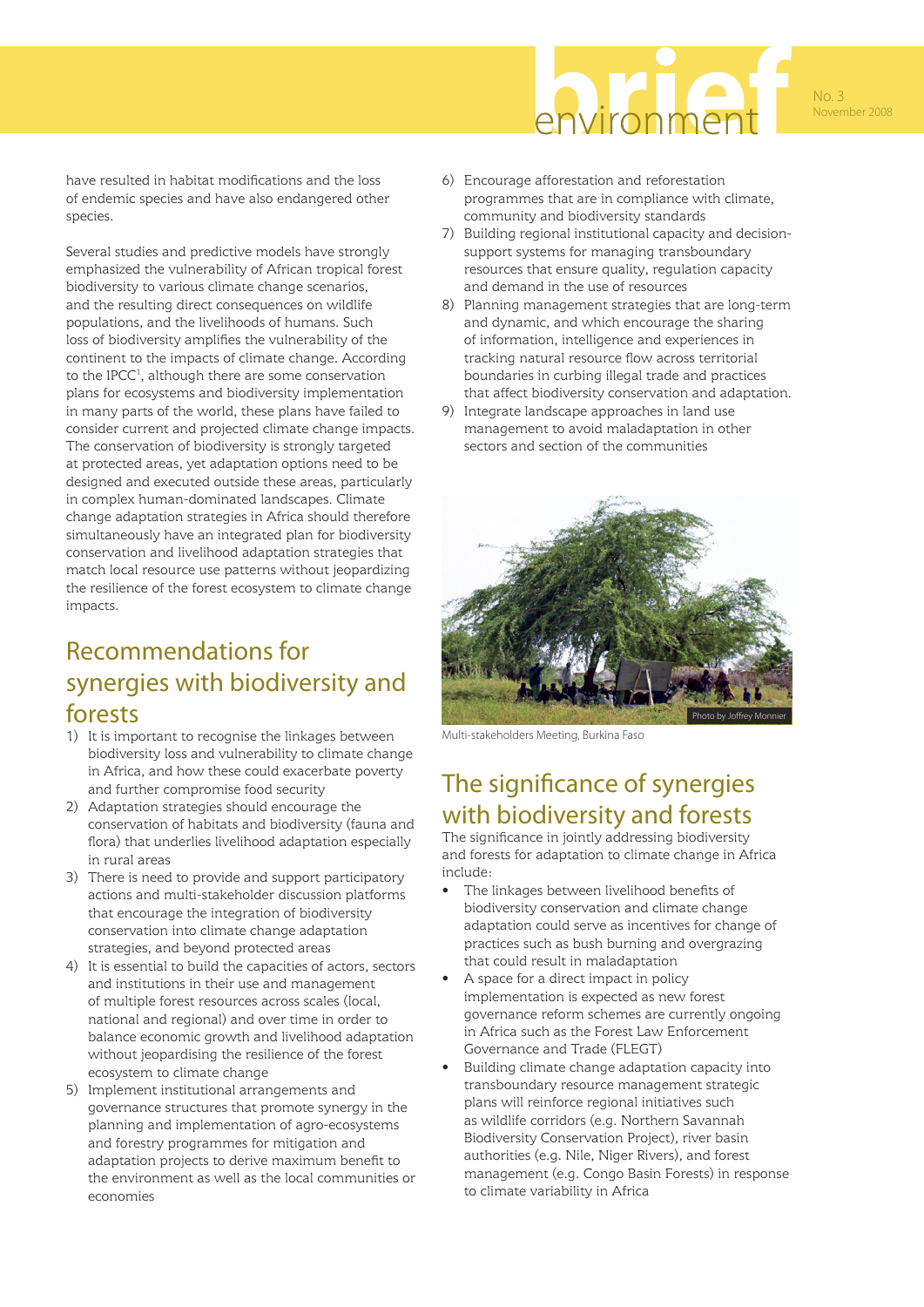

No. 3 November 2008

have resulted in habitat modifications and the loss of endemic species and have also endangered other species.

Several studies and predictive models have strongly emphasized the vulnerability of African tropical forest biodiversity to various climate change scenarios, and the resulting direct consequences on wildlife populations, and the livelihoods of humans. Such loss of biodiversity amplifies the vulnerability of the continent to the impacts of climate change. According to the IPCC<sup>1</sup>, although there are some conservation plans for ecosystems and biodiversity implementation in many parts of the world, these plans have failed to consider current and projected climate change impacts. The conservation of biodiversity is strongly targeted at protected areas, yet adaptation options need to be designed and executed outside these areas, particularly in complex human-dominated landscapes. Climate change adaptation strategies in Africa should therefore simultaneously have an integrated plan for biodiversity conservation and livelihood adaptation strategies that match local resource use patterns without jeopardizing the resilience of the forest ecosystem to climate change impacts.

## Recommendations for synergies with biodiversity and forests

- 1) It is important to recognise the linkages between biodiversity loss and vulnerability to climate change in Africa, and how these could exacerbate poverty and further compromise food security
- 2) Adaptation strategies should encourage the conservation of habitats and biodiversity (fauna and flora) that underlies livelihood adaptation especially in rural areas
- 3) There is need to provide and support participatory actions and multi-stakeholder discussion platforms that encourage the integration of biodiversity conservation into climate change adaptation strategies, and beyond protected areas
- 4) It is essential to build the capacities of actors, sectors and institutions in their use and management of multiple forest resources across scales (local, national and regional) and over time in order to balance economic growth and livelihood adaptation without jeopardising the resilience of the forest ecosystem to climate change
- 5) Implement institutional arrangements and governance structures that promote synergy in the planning and implementation of agro-ecosystems and forestry programmes for mitigation and adaptation projects to derive maximum benefit to the environment as well as the local communities or economies
- 6) Encourage afforestation and reforestation programmes that are in compliance with climate, community and biodiversity standards
- 7) Building regional institutional capacity and decisionsupport systems for managing transboundary resources that ensure quality, regulation capacity and demand in the use of resources
- 8) Planning management strategies that are long-term and dynamic, and which encourage the sharing of information, intelligence and experiences in tracking natural resource flow across territorial boundaries in curbing illegal trade and practices that affect biodiversity conservation and adaptation.
- 9) Integrate landscape approaches in land use management to avoid maladaptation in other sectors and section of the communities



Multi-stakeholders Meeting, Burkina Faso

## The significance of synergies with biodiversity and forests

The significance in jointly addressing biodiversity and forests for adaptation to climate change in Africa include:

- The linkages between livelihood benefits of biodiversity conservation and climate change adaptation could serve as incentives for change of practices such as bush burning and overgrazing that could result in maladaptation
- A space for a direct impact in policy implementation is expected as new forest governance reform schemes are currently ongoing in Africa such as the Forest Law Enforcement Governance and Trade (FLEGT)
- Building climate change adaptation capacity into transboundary resource management strategic plans will reinforce regional initiatives such as wildlife corridors (e.g. Northern Savannah Biodiversity Conservation Project), river basin authorities (e.g. Nile, Niger Rivers), and forest management (e.g. Congo Basin Forests) in response to climate variability in Africa